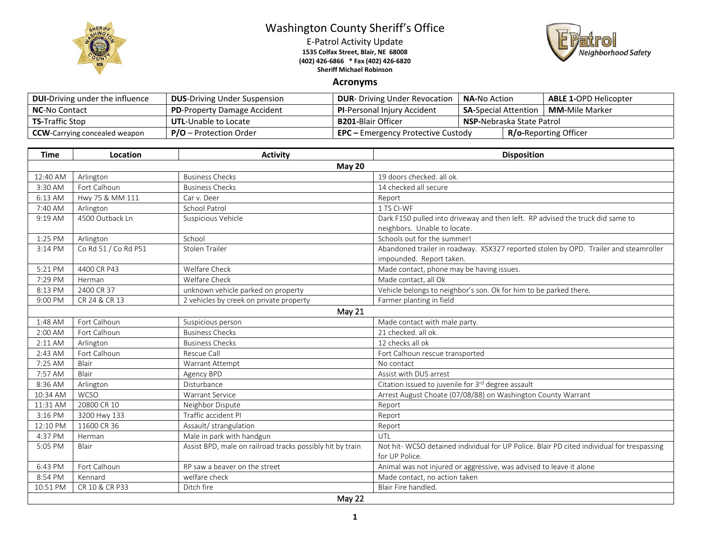

## Washington County Sheriff's Office

E-Patrol Activity Update **1535 Colfax Street, Blair, NE 68008 (402) 426-6866 \* Fax (402) 426-6820 Sheriff Michael Robinson**



## **Acronyms**

| <b>DUI-Driving under the influence</b> | <b>DUS-Driving Under Suspension</b> | <b>DUR-</b> Driving Under Revocation      | <b>NA-</b> No Action              |  | <b>ABLE 1-OPD Helicopter</b> |
|----------------------------------------|-------------------------------------|-------------------------------------------|-----------------------------------|--|------------------------------|
| <b>NC-No Contact</b>                   | <b>PD-Property Damage Accident</b>  | <b>PI-Personal Injury Accident</b>        | <b>SA-Special Attention</b>       |  | <b>MM-</b> Mile Marker       |
| <b>TS-Traffic Stop</b>                 | <b>UTL-Unable to Locate</b>         | <b>B201-</b> Blair Officer                | <b>NSP-</b> Nebraska State Patrol |  |                              |
| <b>CCW</b> -Carrying concealed weapon  | <b>P/O</b> – Protection Order       | <b>EPC</b> – Emergency Protective Custody |                                   |  | <b>R/o-Reporting Officer</b> |

| <b>Time</b> | Location             | <b>Activity</b>                                           | <b>Disposition</b>                                                                                          |  |  |  |  |
|-------------|----------------------|-----------------------------------------------------------|-------------------------------------------------------------------------------------------------------------|--|--|--|--|
|             | <b>May 20</b>        |                                                           |                                                                                                             |  |  |  |  |
| 12:40 AM    | Arlington            | <b>Business Checks</b>                                    | 19 doors checked, all ok.                                                                                   |  |  |  |  |
| 3:30 AM     | Fort Calhoun         | <b>Business Checks</b>                                    | 14 checked all secure                                                                                       |  |  |  |  |
| 6:13 AM     | Hwy 75 & MM 111      | Car v. Deer                                               | Report                                                                                                      |  |  |  |  |
| 7:40 AM     | Arlington            | <b>School Patrol</b>                                      | 1 TS CI-WF                                                                                                  |  |  |  |  |
| 9:19 AM     | 4500 Outback Ln      | Suspicious Vehicle                                        | Dark F150 pulled into driveway and then left. RP advised the truck did same to                              |  |  |  |  |
|             |                      |                                                           | neighbors. Unable to locate.                                                                                |  |  |  |  |
| 1:25 PM     | Arlington            | School                                                    | Schools out for the summer!                                                                                 |  |  |  |  |
| 3:14 PM     | Co Rd 51 / Co Rd P51 | Stolen Trailer                                            | Abandoned trailer in roadway. XSX327 reported stolen by OPD. Trailer and steamroller                        |  |  |  |  |
|             |                      |                                                           | impounded. Report taken.                                                                                    |  |  |  |  |
| 5:21 PM     | 4400 CR P43          | Welfare Check                                             | Made contact, phone may be having issues.                                                                   |  |  |  |  |
| 7:29 PM     | Herman               | Welfare Check                                             | Made contact, all Ok                                                                                        |  |  |  |  |
| 8:13 PM     | 2400 CR 37           | unknown vehicle parked on property                        | Vehicle belongs to neighbor's son. Ok for him to be parked there.                                           |  |  |  |  |
| 9:00 PM     | CR 24 & CR 13        | 2 vehicles by creek on private property                   | Farmer planting in field                                                                                    |  |  |  |  |
|             | May 21               |                                                           |                                                                                                             |  |  |  |  |
| 1:48 AM     | Fort Calhoun         | Suspicious person                                         | Made contact with male party.                                                                               |  |  |  |  |
| $2:00$ AM   | Fort Calhoun         | <b>Business Checks</b>                                    | 21 checked, all ok.                                                                                         |  |  |  |  |
| 2:11 AM     | Arlington            | <b>Business Checks</b>                                    | 12 checks all ok                                                                                            |  |  |  |  |
| 2:43 AM     | Fort Calhoun         | Rescue Call                                               | Fort Calhoun rescue transported                                                                             |  |  |  |  |
| 7:25 AM     | Blair                | Warrant Attempt                                           | No contact                                                                                                  |  |  |  |  |
| 7:57 AM     | Blair                | Agency BPD                                                | Assist with DUS arrest                                                                                      |  |  |  |  |
| 8:36 AM     | Arlington            | Disturbance                                               | Citation issued to juvenile for 3rd degree assault                                                          |  |  |  |  |
| 10:34 AM    | <b>WCSO</b>          | <b>Warrant Service</b>                                    | Arrest August Choate (07/08/88) on Washington County Warrant                                                |  |  |  |  |
| 11:31 AM    | 20800 CR 10          | Neighbor Dispute                                          | Report                                                                                                      |  |  |  |  |
| 3:16 PM     | 3200 Hwy 133         | Traffic accident PI                                       | Report                                                                                                      |  |  |  |  |
| 12:10 PM    | 11600 CR 36          | Assault/ strangulation                                    | Report                                                                                                      |  |  |  |  |
| 4:37 PM     | Herman               | Male in park with handgun                                 | UTL                                                                                                         |  |  |  |  |
| 5:05 PM     | Blair                | Assist BPD, male on railroad tracks possibly hit by train | Not hit-WCSO detained individual for UP Police. Blair PD cited individual for trespassing<br>for UP Police. |  |  |  |  |
| 6:43 PM     | Fort Calhoun         | RP saw a beaver on the street                             | Animal was not injured or aggressive, was advised to leave it alone                                         |  |  |  |  |
| 8:54 PM     | Kennard              | welfare check                                             | Made contact, no action taken                                                                               |  |  |  |  |
| 10:51 PM    | CR 10 & CR P33       | Ditch fire                                                | Blair Fire handled.                                                                                         |  |  |  |  |
| May 22      |                      |                                                           |                                                                                                             |  |  |  |  |